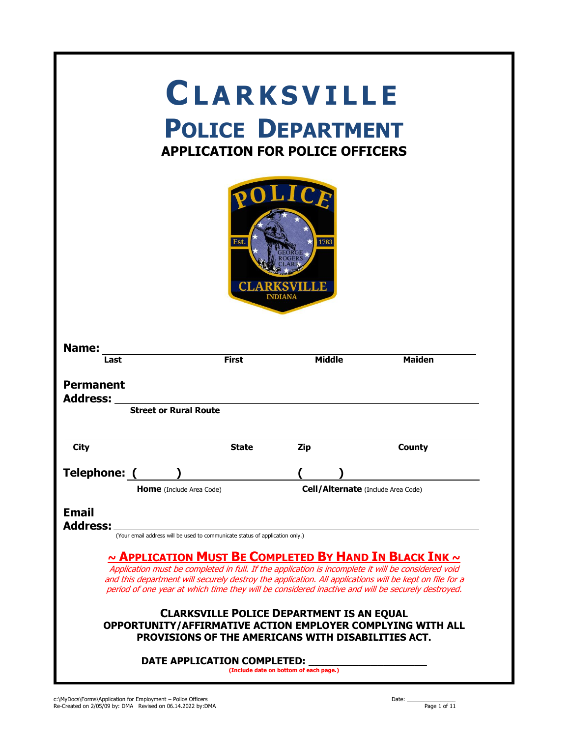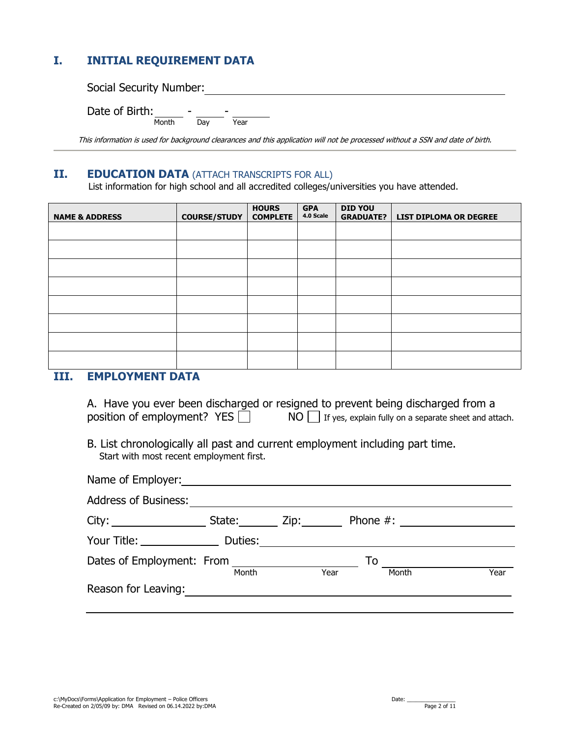## **I. INITIAL REQUIREMENT DATA**

Social Security Number: 2008 2009 2010 2020 2020 2031 2040 2051 2052 2053 2054 2055 2056 2057 2058 2059 2059 20

Date of Birth:  $\frac{1}{\text{Month}}$  $\overline{\phantom{a}}$   $\overline{\phantom{a}}$   $\overline{\phantom{a}}$   $\overline{\phantom{a}}$   $\overline{\phantom{a}}$   $\overline{\phantom{a}}$   $\overline{\phantom{a}}$   $\overline{\phantom{a}}$   $\overline{\phantom{a}}$   $\overline{\phantom{a}}$   $\overline{\phantom{a}}$   $\overline{\phantom{a}}$   $\overline{\phantom{a}}$   $\overline{\phantom{a}}$   $\overline{\phantom{a}}$   $\overline{\phantom{a}}$   $\overline{\phantom{a}}$   $\overline{\phantom{a}}$   $\overline{\$ 

This information is used for background clearances and this application will not be processed without a SSN and date of birth.

#### **II. EDUCATION DATA** (ATTACH TRANSCRIPTS FOR ALL)

List information for high school and all accredited colleges/universities you have attended.

| <b>NAME &amp; ADDRESS</b> | <b>COURSE/STUDY</b> | <b>HOURS</b><br><b>COMPLETE</b> | <b>GPA</b><br>4.0 Scale | <b>DID YOU</b><br><b>GRADUATE?</b> | <b>LIST DIPLOMA OR DEGREE</b> |
|---------------------------|---------------------|---------------------------------|-------------------------|------------------------------------|-------------------------------|
|                           |                     |                                 |                         |                                    |                               |
|                           |                     |                                 |                         |                                    |                               |
|                           |                     |                                 |                         |                                    |                               |
|                           |                     |                                 |                         |                                    |                               |
|                           |                     |                                 |                         |                                    |                               |
|                           |                     |                                 |                         |                                    |                               |
|                           |                     |                                 |                         |                                    |                               |
|                           |                     |                                 |                         |                                    |                               |

### **III. EMPLOYMENT DATA**

|                               | A. Have you ever been discharged or resigned to prevent being discharged from a |
|-------------------------------|---------------------------------------------------------------------------------|
| position of employment? $YES$ | $NO$ If yes, explain fully on a separate sheet and attach.                      |

B. List chronologically all past and current employment including part time. Start with most recent employment first.

| Name of Employer: Name of Employer: |        |      |            |             |      |
|-------------------------------------|--------|------|------------|-------------|------|
| <b>Address of Business:</b>         |        |      |            |             |      |
| City:                               | State: | Zip: |            | Phone $#$ : |      |
| Your Title: Duties:                 |        |      |            |             |      |
| Dates of Employment: From           | Month  |      | To<br>Year | Month       | Year |
| Reason for Leaving:                 |        |      |            |             |      |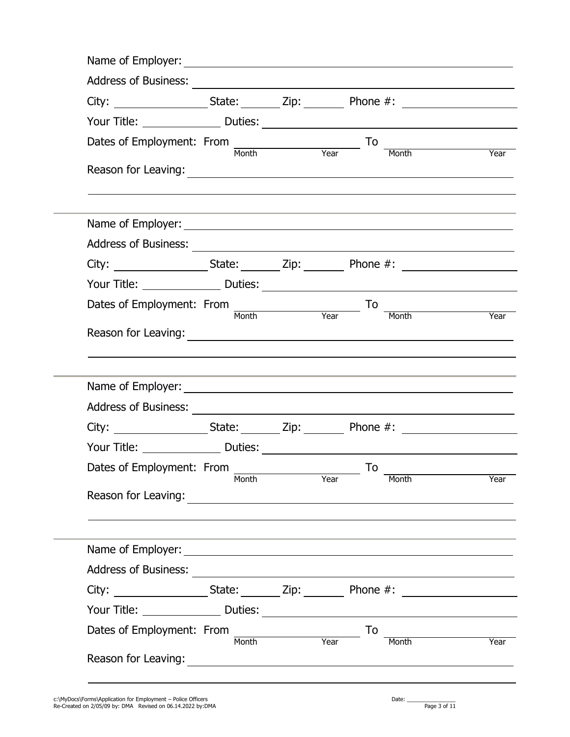| Dates of Employment: From $\frac{1}{M_0}$ Month Year To                                                                                                                                                                        |       |      |    | Month                      | <b>Example 2</b><br><b>Pressure 2</b> |
|--------------------------------------------------------------------------------------------------------------------------------------------------------------------------------------------------------------------------------|-------|------|----|----------------------------|---------------------------------------|
|                                                                                                                                                                                                                                |       |      |    |                            |                                       |
|                                                                                                                                                                                                                                |       |      |    |                            |                                       |
| Address of Business: <u>Address of Business:</u>                                                                                                                                                                               |       |      |    |                            |                                       |
| City: _____________________State: ________ Zip: __________ Phone #: ________________________________                                                                                                                           |       |      |    |                            |                                       |
|                                                                                                                                                                                                                                |       |      |    |                            |                                       |
| Dates of Employment: From<br>Month Year                                                                                                                                                                                        |       |      | To | $\overline{Year}$<br>Month |                                       |
|                                                                                                                                                                                                                                |       |      |    |                            |                                       |
|                                                                                                                                                                                                                                |       |      |    |                            |                                       |
|                                                                                                                                                                                                                                |       |      |    |                            |                                       |
| Address of Business: 2008. Address of Business: 2008. Address of Business: 2008. Address of Business: 2008. Address of Business: 2008. Address of Business: 2008. Address of Business: 2008. Address of Business: 2008. Addres |       |      |    |                            |                                       |
|                                                                                                                                                                                                                                |       |      |    |                            |                                       |
|                                                                                                                                                                                                                                |       |      | To |                            |                                       |
| Dates of Employment: From                                                                                                                                                                                                      | Month | Year |    | Month                      |                                       |
|                                                                                                                                                                                                                                |       |      |    |                            |                                       |
|                                                                                                                                                                                                                                |       |      |    |                            |                                       |
| Address of Business:                                                                                                                                                                                                           |       |      |    |                            |                                       |
|                                                                                                                                                                                                                                |       |      |    |                            |                                       |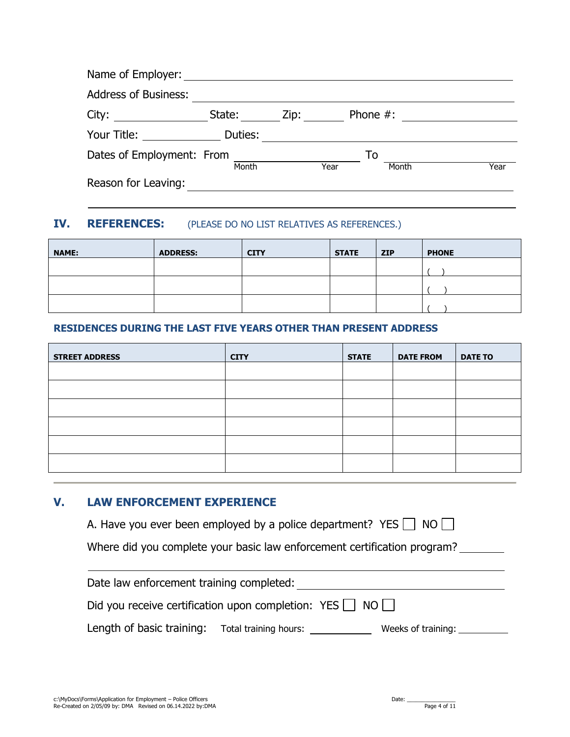| Name of Employer:           |         |      |             |      |
|-----------------------------|---------|------|-------------|------|
| <b>Address of Business:</b> |         |      |             |      |
| City:                       | State:  | Zip: | Phone $#$ : |      |
| Your Title:                 | Duties: |      |             |      |
| Dates of Employment: From   | Month   | Year | To<br>Month | Year |
| Reason for Leaving:         |         |      |             |      |

## **IV. REFERENCES:** (PLEASE DO NO LIST RELATIVES AS REFERENCES.)

| <b>NAME:</b> | <b>ADDRESS:</b> | <b>CITY</b> | <b>STATE</b> | <b>ZIP</b> | <b>PHONE</b> |
|--------------|-----------------|-------------|--------------|------------|--------------|
|              |                 |             |              |            |              |
|              |                 |             |              |            |              |
|              |                 |             |              |            |              |

#### **RESIDENCES DURING THE LAST FIVE YEARS OTHER THAN PRESENT ADDRESS**

| <b>STREET ADDRESS</b> | <b>CITY</b> | <b>STATE</b> | <b>DATE FROM</b> | <b>DATE TO</b> |
|-----------------------|-------------|--------------|------------------|----------------|
|                       |             |              |                  |                |
|                       |             |              |                  |                |
|                       |             |              |                  |                |
|                       |             |              |                  |                |
|                       |             |              |                  |                |
|                       |             |              |                  |                |

#### **V. LAW ENFORCEMENT EXPERIENCE**

|  |  | A. Have you ever been employed by a police department? YES $\Box$ NO $\Box$ |  |  |
|--|--|-----------------------------------------------------------------------------|--|--|
|  |  |                                                                             |  |  |

Where did you complete your basic law enforcement certification program?

Date law enforcement training completed:

Did you receive certification upon completion: YES  $\Box$  NO  $\Box$ 

Length of basic training: Total training hours: \_\_\_\_\_\_\_\_\_\_\_\_\_\_ Weeks of training: \_\_\_\_\_\_\_\_\_\_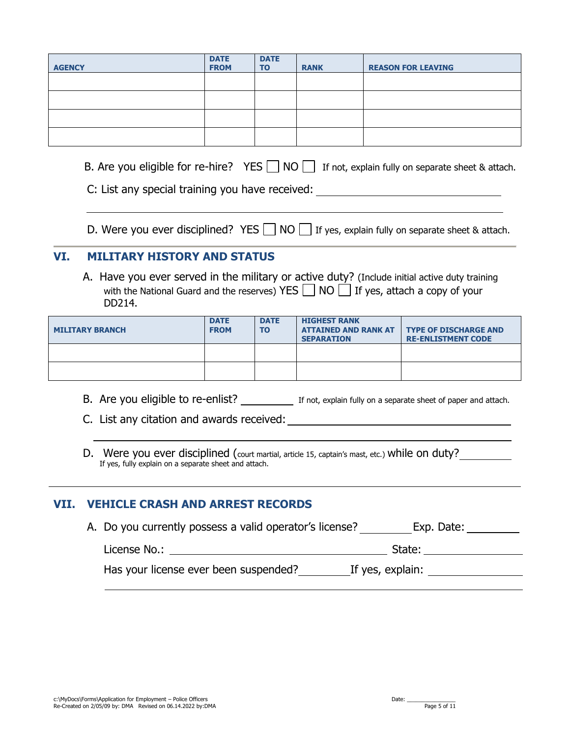| <b>AGENCY</b> | <b>DATE</b><br><b>FROM</b> | <b>DATE</b><br><b>TO</b> | <b>RANK</b> | <b>REASON FOR LEAVING</b> |
|---------------|----------------------------|--------------------------|-------------|---------------------------|
|               |                            |                          |             |                           |
|               |                            |                          |             |                           |
|               |                            |                          |             |                           |
|               |                            |                          |             |                           |

B. Are you eligible for re-hire? YES  $\Box$  NO  $\Box$  If not, explain fully on separate sheet & attach.

| C: List any special training you have received: |  |
|-------------------------------------------------|--|
|-------------------------------------------------|--|

D. Were you ever disciplined? YES  $\Box$  NO  $\Box$  If yes, explain fully on separate sheet & attach.

## **VI. MILITARY HISTORY AND STATUS**

A. Have you ever served in the military or active duty? (Include initial active duty training with the National Guard and the reserves) YES  $\Box$  NO  $\Box$  If yes, attach a copy of your DD214.

| <b>MILITARY BRANCH</b> | <b>DATE</b><br><b>FROM</b> | <b>DATE</b><br><b>TO</b> | <b>HIGHEST RANK</b><br><b>ATTAINED AND RANK AT</b><br><b>SEPARATION</b> | <b>TYPE OF DISCHARGE AND</b><br><b>RE-ENLISTMENT CODE</b> |
|------------------------|----------------------------|--------------------------|-------------------------------------------------------------------------|-----------------------------------------------------------|
|                        |                            |                          |                                                                         |                                                           |
|                        |                            |                          |                                                                         |                                                           |

B. Are you eligible to re-enlist? If not, explain fully on a separate sheet of paper and attach.

C. List any citation and awards received:

D. Were you ever disciplined (court martial, article 15, captain's mast, etc.) while on duty? If yes, fully explain on a separate sheet and attach.

### **VII. VEHICLE CRASH AND ARREST RECORDS**

| A. Do you currently possess a valid operator's license? | Exp. Date:       |
|---------------------------------------------------------|------------------|
| License No.:                                            | State:           |
| Has your license ever been suspended?                   | If yes, explain: |
|                                                         |                  |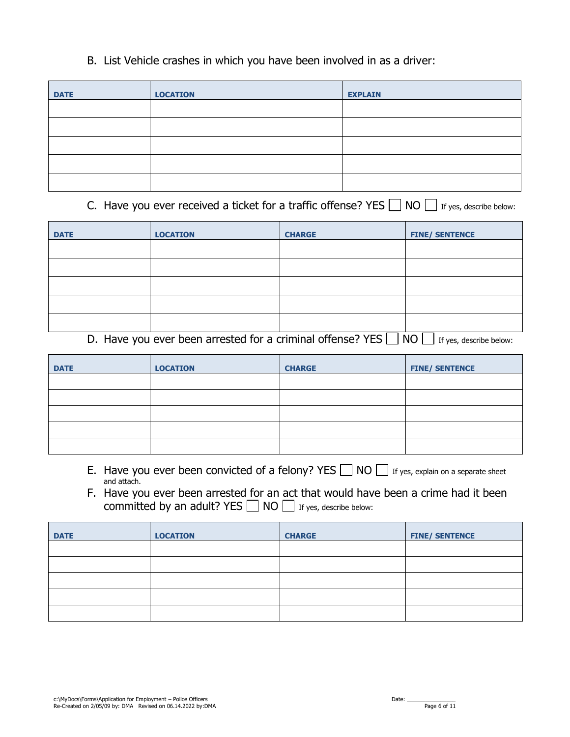## B. List Vehicle crashes in which you have been involved in as a driver:

| <b>DATE</b> | <b>LOCATION</b> | <b>EXPLAIN</b> |
|-------------|-----------------|----------------|
|             |                 |                |
|             |                 |                |
|             |                 |                |
|             |                 |                |
|             |                 |                |

C. Have you ever received a ticket for a traffic offense? YES  $\Box$  NO  $\Box$  If yes, describe below:

| <b>DATE</b> | <b>LOCATION</b> | <b>CHARGE</b> | <b>FINE/ SENTENCE</b> |
|-------------|-----------------|---------------|-----------------------|
|             |                 |               |                       |
|             |                 |               |                       |
|             |                 |               |                       |
|             |                 |               |                       |
|             |                 |               |                       |

D. Have you ever been arrested for a criminal offense? YES  $\Box$  NO  $\Box$  If yes, describe below:

| <b>DATE</b> | <b>LOCATION</b> | <b>CHARGE</b> | <b>FINE/ SENTENCE</b> |
|-------------|-----------------|---------------|-----------------------|
|             |                 |               |                       |
|             |                 |               |                       |
|             |                 |               |                       |
|             |                 |               |                       |
|             |                 |               |                       |

- E. Have you ever been convicted of a felony? YES  $\Box$  NO  $\Box$  If yes, explain on a separate sheet and attach.
- F. Have you ever been arrested for an act that would have been a crime had it been committed by an adult? YES  $\Box$  NO  $\Box$  If yes, describe below:

| <b>DATE</b> | <b>LOCATION</b> | <b>CHARGE</b> | <b>FINE/ SENTENCE</b> |
|-------------|-----------------|---------------|-----------------------|
|             |                 |               |                       |
|             |                 |               |                       |
|             |                 |               |                       |
|             |                 |               |                       |
|             |                 |               |                       |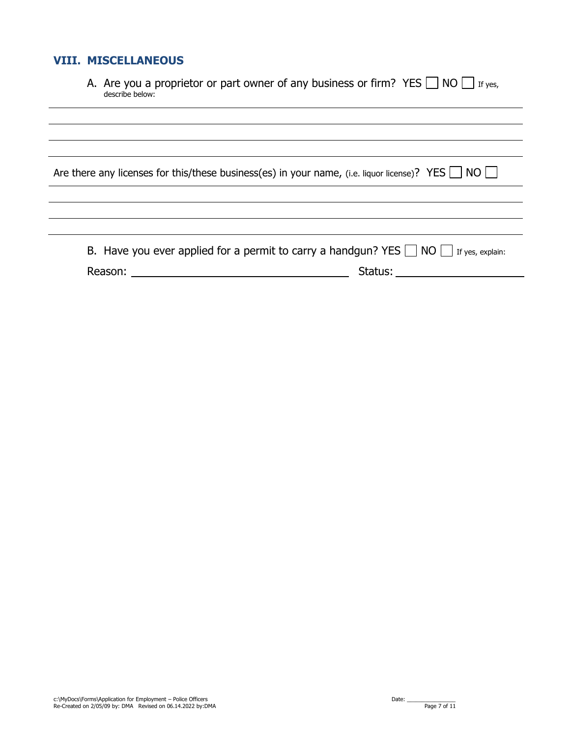## **VIII. MISCELLANEOUS**

| A. Are you a proprietor or part owner of any business or firm? YES $\Box$ NO $\Box$ If yes, |  |
|---------------------------------------------------------------------------------------------|--|
| describe below:                                                                             |  |

| Are there any licenses for this/these business(es) in your name, (i.e. liquor license)? YES $\Box$ NO $\Box$ |  |  |  |
|--------------------------------------------------------------------------------------------------------------|--|--|--|
|--------------------------------------------------------------------------------------------------------------|--|--|--|

|         | B. Have you ever applied for a permit to carry a handgun? YES $\Box$ NO $\Box$ If yes, explain: |
|---------|-------------------------------------------------------------------------------------------------|
| Reason: | Status:                                                                                         |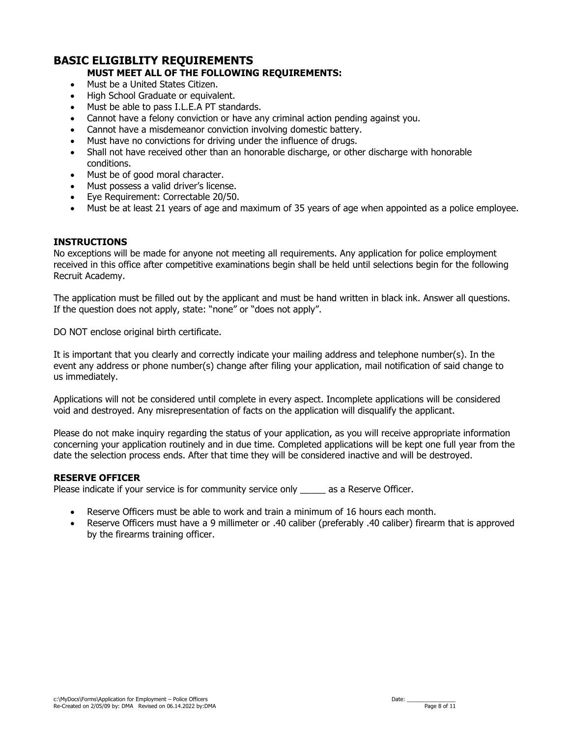#### **BASIC ELIGIBLITY REQUIREMENTS MUST MEET ALL OF THE FOLLOWING REQUIREMENTS:**

- Must be a United States Citizen.
- High School Graduate or equivalent.
- Must be able to pass I.L.E.A PT standards.
- Cannot have a felony conviction or have any criminal action pending against you.
- Cannot have a misdemeanor conviction involving domestic battery.
- Must have no convictions for driving under the influence of drugs.
- Shall not have received other than an honorable discharge, or other discharge with honorable conditions.
- Must be of good moral character.
- Must possess a valid driver's license.
- Eye Requirement: Correctable 20/50.
- Must be at least 21 years of age and maximum of 35 years of age when appointed as a police employee.

#### **INSTRUCTIONS**

No exceptions will be made for anyone not meeting all requirements. Any application for police employment received in this office after competitive examinations begin shall be held until selections begin for the following Recruit Academy.

The application must be filled out by the applicant and must be hand written in black ink. Answer all questions. If the question does not apply, state: "none" or "does not apply".

DO NOT enclose original birth certificate.

It is important that you clearly and correctly indicate your mailing address and telephone number(s). In the event any address or phone number(s) change after filing your application, mail notification of said change to us immediately.

Applications will not be considered until complete in every aspect. Incomplete applications will be considered void and destroyed. Any misrepresentation of facts on the application will disqualify the applicant.

Please do not make inquiry regarding the status of your application, as you will receive appropriate information concerning your application routinely and in due time. Completed applications will be kept one full year from the date the selection process ends. After that time they will be considered inactive and will be destroyed.

#### **RESERVE OFFICER**

Please indicate if your service is for community service only same as a Reserve Officer.

- Reserve Officers must be able to work and train a minimum of 16 hours each month.
- Reserve Officers must have a 9 millimeter or .40 caliber (preferably .40 caliber) firearm that is approved by the firearms training officer.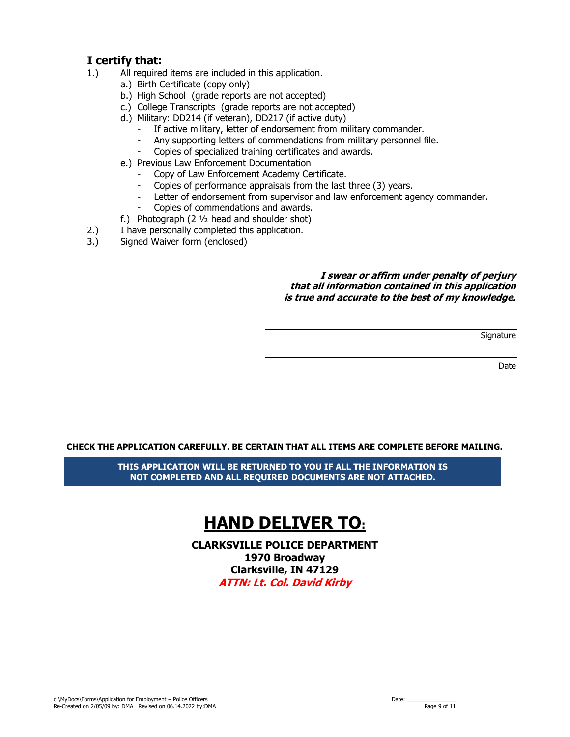## **I certify that:**

- 1.) All required items are included in this application.
	- a.) Birth Certificate (copy only)
	- b.) High School (grade reports are not accepted)
	- c.) College Transcripts (grade reports are not accepted)
	- d.) Military: DD214 (if veteran), DD217 (if active duty)
		- If active military, letter of endorsement from military commander.
		- Any supporting letters of commendations from military personnel file.
		- Copies of specialized training certificates and awards.
	- e.) Previous Law Enforcement Documentation
		- Copy of Law Enforcement Academy Certificate.
		- Copies of performance appraisals from the last three (3) years.
		- Letter of endorsement from supervisor and law enforcement agency commander.
		- Copies of commendations and awards.
	- f.) Photograph (2  $\frac{1}{2}$  head and shoulder shot)
- 2.) I have personally completed this application.
- 3.) Signed Waiver form (enclosed)

#### **I swear or affirm under penalty of perjury that all information contained in this application is true and accurate to the best of my knowledge.**

**Signature** 

Date

#### **CHECK THE APPLICATION CAREFULLY. BE CERTAIN THAT ALL ITEMS ARE COMPLETE BEFORE MAILING.**

**THIS APPLICATION WILL BE RETURNED TO YOU IF ALL THE INFORMATION IS NOT COMPLETED AND ALL REQUIRED DOCUMENTS ARE NOT ATTACHED.** 

# **HAND DELIVER TO: PLACE PHOTOGRAPH**

**CLARKSVILLE POLICE DEPARTMENT 1970 Broadway Clarksville, IN 47129 ATTN: Lt. Col. David Kirby**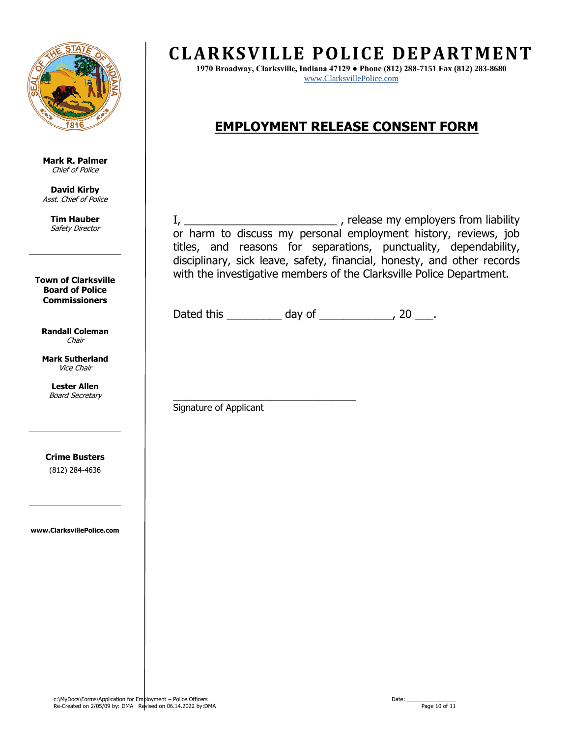

**Mark R. Palmer** Chief of Police

**David Kirby** Asst. Chief of Police

**Tim Hauber** Safety Director

**Town of Clarksville Board of Police Commissioners**

**Randall Coleman** Chair

**Mark Sutherland** Vice Chair

> **Lester Allen** Board Secretary

**Crime Busters**  (812) 284-4636

**www.ClarksvillePolice.com**

## **CLARKSVILLE POLICE DEPARTMENT**

**EXECUTE:**<br>
<u>WWW.ClarksvillePolice.com</u> **1970 Broadway, Clarksville, Indiana 47129 ● Phone (812) 288-7151 Fax (812) 283-8680**

## **EMPLOYMENT RELEASE CONSENT FORM**

I, \_\_\_\_\_\_\_\_\_\_\_\_\_\_\_\_\_\_\_\_\_\_\_\_\_\_\_\_\_\_\_\_\_\_\_, release my employers from liability or harm to discuss my personal employment history, reviews, job titles, and reasons for separations, punctuality, dependability, disciplinary, sick leave, safety, financial, honesty, and other records with the investigative members of the Clarksville Police Department.

Dated this \_\_\_\_\_\_\_\_\_\_ day of \_\_\_\_\_\_\_\_\_\_\_, 20 \_\_\_.

\_\_\_\_\_\_\_\_\_\_\_\_\_\_\_\_\_\_\_\_\_\_\_\_\_\_\_\_\_\_ Signature of Applicant